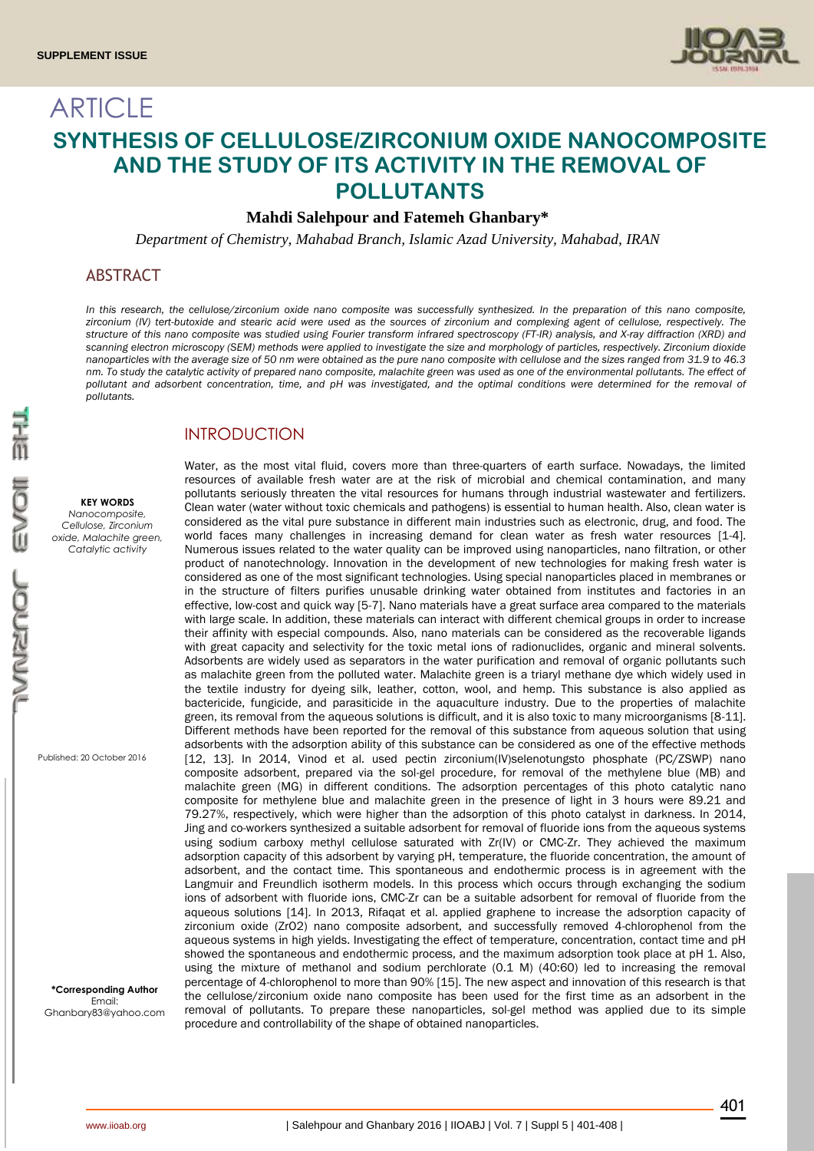

# **ARTICLE SYNTHESIS OF CELLULOSE/ZIRCONIUM OXIDE NANOCOMPOSITE AND THE STUDY OF ITS ACTIVITY IN THE REMOVAL OF POLLUTANTS**

## **Mahdi Salehpour and Fatemeh Ghanbary\***

*Department of Chemistry, Mahabad Branch, Islamic Azad University, Mahabad, IRAN*

# ABSTRACT

*In this research, the cellulose/zirconium oxide nano composite was successfully synthesized. In the preparation of this nano composite, zirconium (IV) tert-butoxide and stearic acid were used as the sources of zirconium and complexing agent of cellulose, respectively. The structure of this nano composite was studied using Fourier transform infrared spectroscopy (FT-IR) analysis, and X-ray diffraction (XRD) and*  scanning electron microscopy (SEM) methods were applied to investigate the size and morphology of particles, respectively. Zirconium dioxide *nanoparticles with the average size of 50 nm were obtained as the pure nano composite with cellulose and the sizes ranged from 31.9 to 46.3 nm. To study the catalytic activity of prepared nano composite, malachite green was used as one of the environmental pollutants. The effect of pollutant and adsorbent concentration, time, and pH was investigated, and the optimal conditions were determined for the removal of pollutants.*

# INTRODUCTION

#### **KEY WORDS**

*Nanocomposite, Cellulose, Zirconium oxide, Malachite green, Catalytic activity*

Published: 20 October 2016

**\*Corresponding Author** Email: Ghanbary83@yahoo.com

Water, as the most vital fluid, covers more than three-quarters of earth surface. Nowadays, the limited resources of available fresh water are at the risk of microbial and chemical contamination, and many pollutants seriously threaten the vital resources for humans through industrial wastewater and fertilizers. Clean water (water without toxic chemicals and pathogens) is essential to human health. Also, clean water is considered as the vital pure substance in different main industries such as electronic, drug, and food. The world faces many challenges in increasing demand for clean water as fresh water resources [1-4]. Numerous issues related to the water quality can be improved using nanoparticles, nano filtration, or other product of nanotechnology. Innovation in the development of new technologies for making fresh water is considered as one of the most significant technologies. Using special nanoparticles placed in membranes or in the structure of filters purifies unusable drinking water obtained from institutes and factories in an effective, low-cost and quick way [5-7]. Nano materials have a great surface area compared to the materials with large scale. In addition, these materials can interact with different chemical groups in order to increase their affinity with especial compounds. Also, nano materials can be considered as the recoverable ligands with great capacity and selectivity for the toxic metal ions of radionuclides, organic and mineral solvents. Adsorbents are widely used as separators in the water purification and removal of organic pollutants such as malachite green from the polluted water. Malachite green is a triaryl methane dye which widely used in the textile industry for dyeing silk, leather, cotton, wool, and hemp. This substance is also applied as bactericide, fungicide, and parasiticide in the aquaculture industry. Due to the properties of malachite green, its removal from the aqueous solutions is difficult, and it is also toxic to many microorganisms [8-11]. Different methods have been reported for the removal of this substance from aqueous solution that using adsorbents with the adsorption ability of this substance can be considered as one of the effective methods [12, 13]. In 2014, Vinod et al. used pectin zirconium(IV)selenotungsto phosphate (PC/ZSWP) nano composite adsorbent, prepared via the sol-gel procedure, for removal of the methylene blue (MB) and malachite green (MG) in different conditions. The adsorption percentages of this photo catalytic nano composite for methylene blue and malachite green in the presence of light in 3 hours were 89.21 and 79.27%, respectively, which were higher than the adsorption of this photo catalyst in darkness. In 2014, Jing and co-workers synthesized a suitable adsorbent for removal of fluoride ions from the aqueous systems using sodium carboxy methyl cellulose saturated with Zr(IV) or CMC-Zr. They achieved the maximum adsorption capacity of this adsorbent by varying pH, temperature, the fluoride concentration, the amount of adsorbent, and the contact time. This spontaneous and endothermic process is in agreement with the Langmuir and Freundlich isotherm models. In this process which occurs through exchanging the sodium ions of adsorbent with fluoride ions, CMC-Zr can be a suitable adsorbent for removal of fluoride from the aqueous solutions [14]. In 2013, Rifaqat et al. applied graphene to increase the adsorption capacity of zirconium oxide (ZrO2) nano composite adsorbent, and successfully removed 4-chlorophenol from the aqueous systems in high yields. Investigating the effect of temperature, concentration, contact time and pH showed the spontaneous and endothermic process, and the maximum adsorption took place at pH 1. Also, using the mixture of methanol and sodium perchlorate (0.1 M) (40:60) led to increasing the removal percentage of 4-chlorophenol to more than 90% [15]. The new aspect and innovation of this research is that the cellulose/zirconium oxide nano composite has been used for the first time as an adsorbent in the removal of pollutants. To prepare these nanoparticles, sol-gel method was applied due to its simple procedure and controllability of the shape of obtained nanoparticles.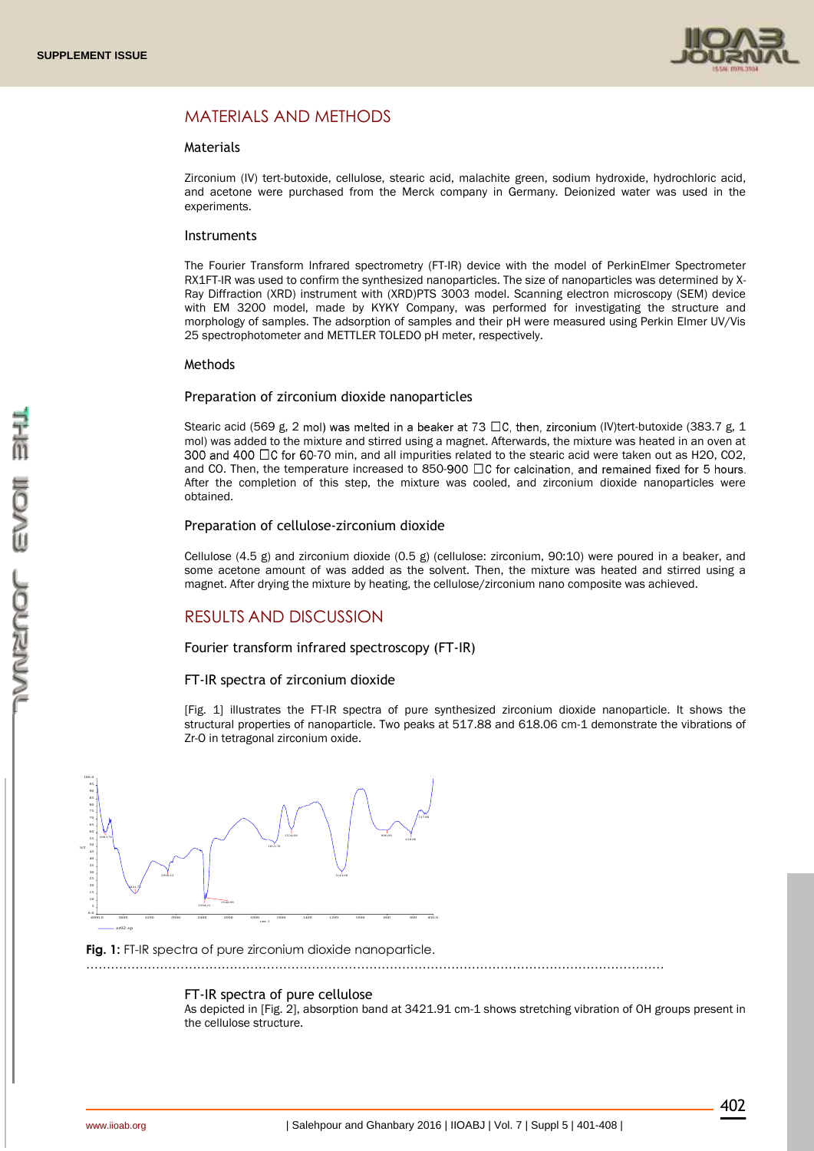

# MATERIALS AND METHODS

#### Materials

Zirconium (IV) tert-butoxide, cellulose, stearic acid, malachite green, sodium hydroxide, hydrochloric acid, and acetone were purchased from the Merck company in Germany. Deionized water was used in the experiments.

#### **Instruments**

The Fourier Transform Infrared spectrometry (FT-IR) device with the model of PerkinElmer Spectrometer RX1FT-IR was used to confirm the synthesized nanoparticles. The size of nanoparticles was determined by X-Ray Diffraction (XRD) instrument with (XRD)PTS 3003 model. Scanning electron microscopy (SEM) device with EM 3200 model, made by KYKY Company, was performed for investigating the structure and morphology of samples. The adsorption of samples and their pH were measured using Perkin Elmer UV/Vis 25 spectrophotometer and METTLER TOLEDO pH meter, respectively.

## Methods

#### Preparation of zirconium dioxide nanoparticles

Stearic acid (569 g, 2 mol) was melted in a beaker at 73  $\Box$ C, then, zirconium (IV)tert-butoxide (383.7 g, 1 mol) was added to the mixture and stirred using a magnet. Afterwards, the mixture was heated in an oven at 300 and 400  $\Box$ C for 60-70 min, and all impurities related to the stearic acid were taken out as H2O, CO2, and CO. Then, the temperature increased to 850-900  $\Box$  C for calcination, and remained fixed for 5 hours. After the completion of this step, the mixture was cooled, and zirconium dioxide nanoparticles were obtained.

#### Preparation of cellulose-zirconium dioxide

Cellulose (4.5 g) and zirconium dioxide (0.5 g) (cellulose: zirconium, 90:10) were poured in a beaker, and some acetone amount of was added as the solvent. Then, the mixture was heated and stirred using a magnet. After drying the mixture by heating, the cellulose/zirconium nano composite was achieved.

# RESULTS AND DISCUSSION

Fourier transform infrared spectroscopy (FT-IR)

## FT-IR spectra of zirconium dioxide

[Fig. 1] illustrates the FT-IR spectra of pure synthesized zirconium dioxide nanoparticle. It shows the structural properties of nanoparticle. Two peaks at 517.88 and 618.06 cm-1 demonstrate the vibrations of Zr-O in tetragonal zirconium oxide.



#### **Fig. 1:** FT-IR spectra of pure zirconium dioxide nanoparticle.

……………………………………………………………………………………………………………………………

## FT-IR spectra of pure cellulose

As depicted in [Fig. 2], absorption band at 3421.91 cm-1 shows stretching vibration of OH groups present in the cellulose structure.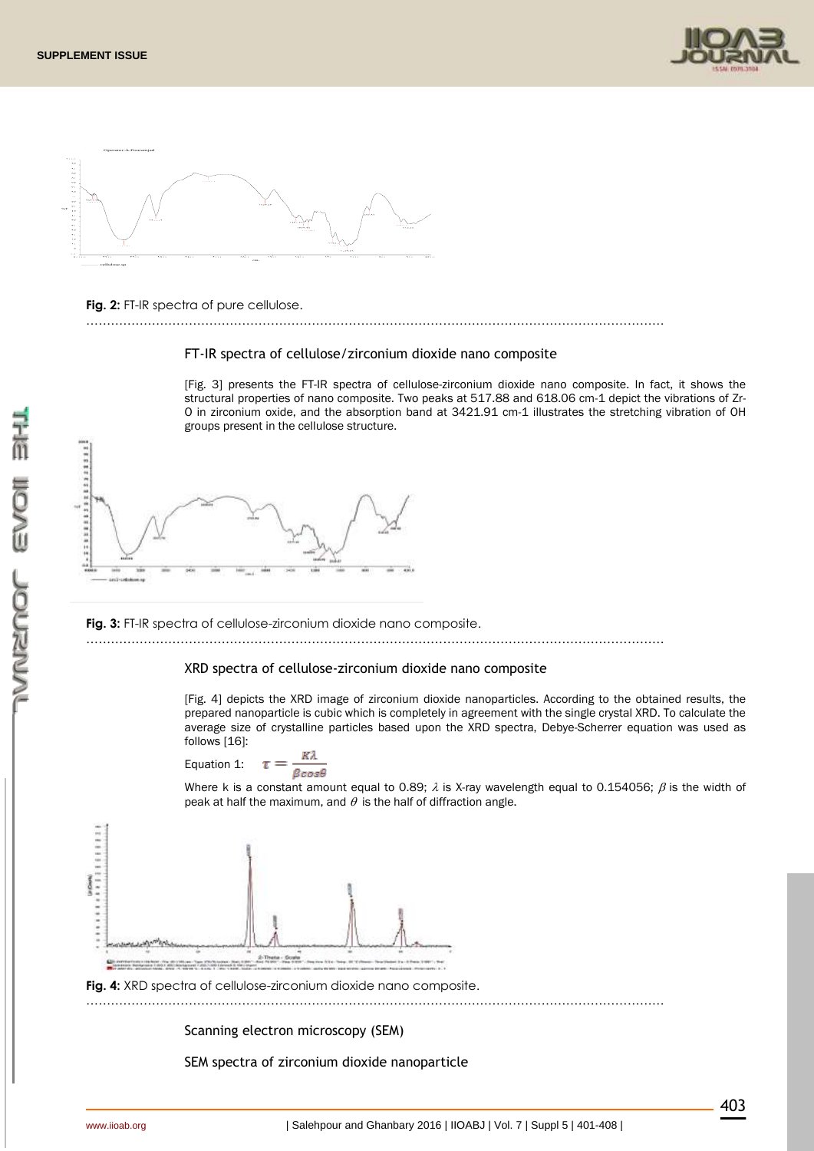



## **Fig. 2:** FT-IR spectra of pure cellulose.

FT-IR spectra of cellulose/zirconium dioxide nano composite

……………………………………………………………………………………………………………………………

[Fig. 3] presents the FT-IR spectra of cellulose-zirconium dioxide nano composite. In fact, it shows the structural properties of nano composite. Two peaks at 517.88 and 618.06 cm-1 depict the vibrations of Zr-O in zirconium oxide, and the absorption band at 3421.91 cm-1 illustrates the stretching vibration of OH groups present in the cellulose structure.



**Fig. 3:** FT-IR spectra of cellulose-zirconium dioxide nano composite. ……………………………………………………………………………………………………………………………

# XRD spectra of cellulose-zirconium dioxide nano composite

[Fig. 4] depicts the XRD image of zirconium dioxide nanoparticles. According to the obtained results, the prepared nanoparticle is cubic which is completely in agreement with the single crystal XRD. To calculate the average size of crystalline particles based upon the XRD spectra, Debye-Scherrer equation was used as follows [16]:

Equation 1: 
$$
\tau = \frac{K\lambda}{\beta \cos\theta}
$$

Where k is a constant amount equal to 0.89;  $\lambda$  is X-ray wavelength equal to 0.154056;  $\beta$  is the width of peak at half the maximum, and  $\theta$  is the half of diffraction angle.



**Fig. 4:** XRD spectra of cellulose-zirconium dioxide nano composite.

……………………………………………………………………………………………………………………………

Scanning electron microscopy (SEM)

SEM spectra of zirconium dioxide nanoparticle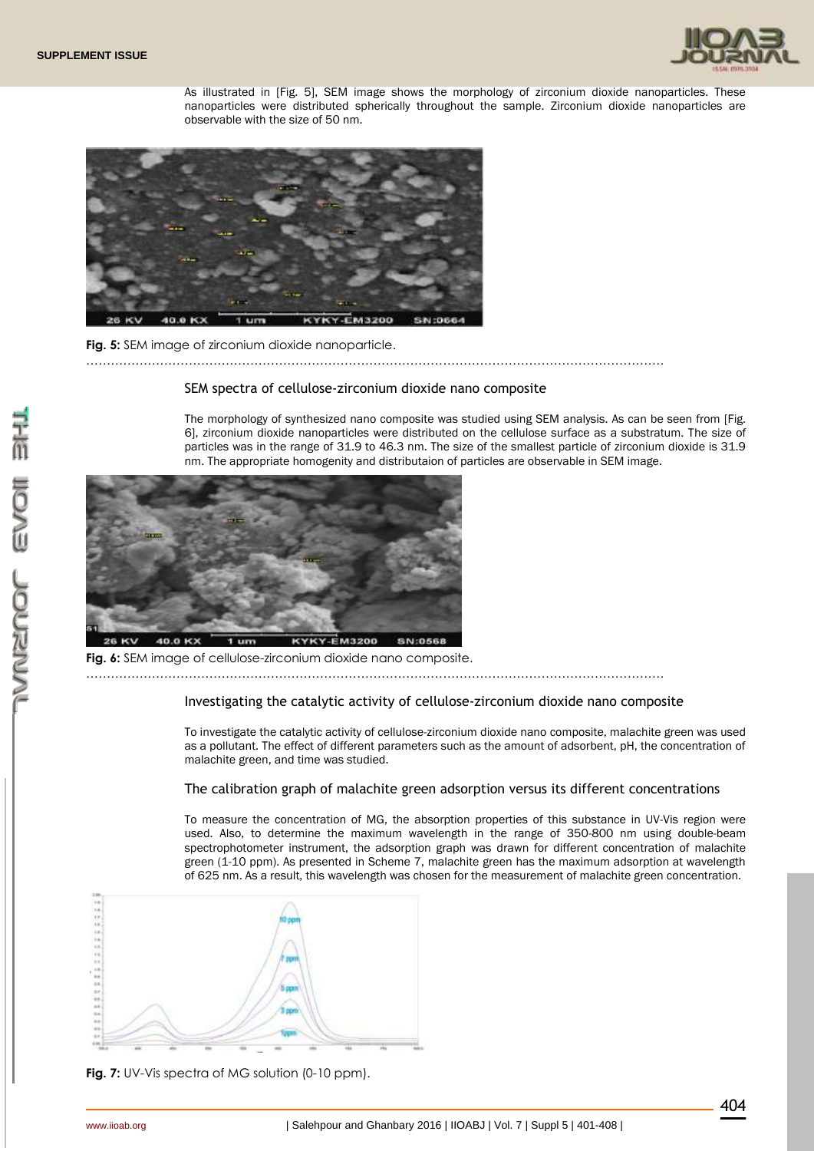

As illustrated in [Fig. 5], SEM image shows the morphology of zirconium dioxide nanoparticles. These nanoparticles were distributed spherically throughout the sample. Zirconium dioxide nanoparticles are observable with the size of 50 nm.



**Fig. 5:** SEM image of zirconium dioxide nanoparticle.

# SEM spectra of cellulose-zirconium dioxide nano composite

……………………………………………………………………………………………………………………………

The morphology of synthesized nano composite was studied using SEM analysis. As can be seen from [Fig. 6], zirconium dioxide nanoparticles were distributed on the cellulose surface as a substratum. The size of particles was in the range of 31.9 to 46.3 nm. The size of the smallest particle of zirconium dioxide is 31.9 nm. The appropriate homogenity and distributaion of particles are observable in SEM image.



**Fig. 6:** SEM image of cellulose-zirconium dioxide nano composite.

……………………………………………………………………………………………………………………………

#### Investigating the catalytic activity of cellulose-zirconium dioxide nano composite

To investigate the catalytic activity of cellulose-zirconium dioxide nano composite, malachite green was used as a pollutant. The effect of different parameters such as the amount of adsorbent, pH, the concentration of malachite green, and time was studied.

#### The calibration graph of malachite green adsorption versus its different concentrations

To measure the concentration of MG, the absorption properties of this substance in UV-Vis region were used. Also, to determine the maximum wavelength in the range of 350-800 nm using double-beam spectrophotometer instrument, the adsorption graph was drawn for different concentration of malachite green (1-10 ppm). As presented in Scheme 7, malachite green has the maximum adsorption at wavelength of 625 nm. As a result, this wavelength was chosen for the measurement of malachite green concentration.



**Fig. 7:** UV-Vis spectra of MG solution (0-10 ppm).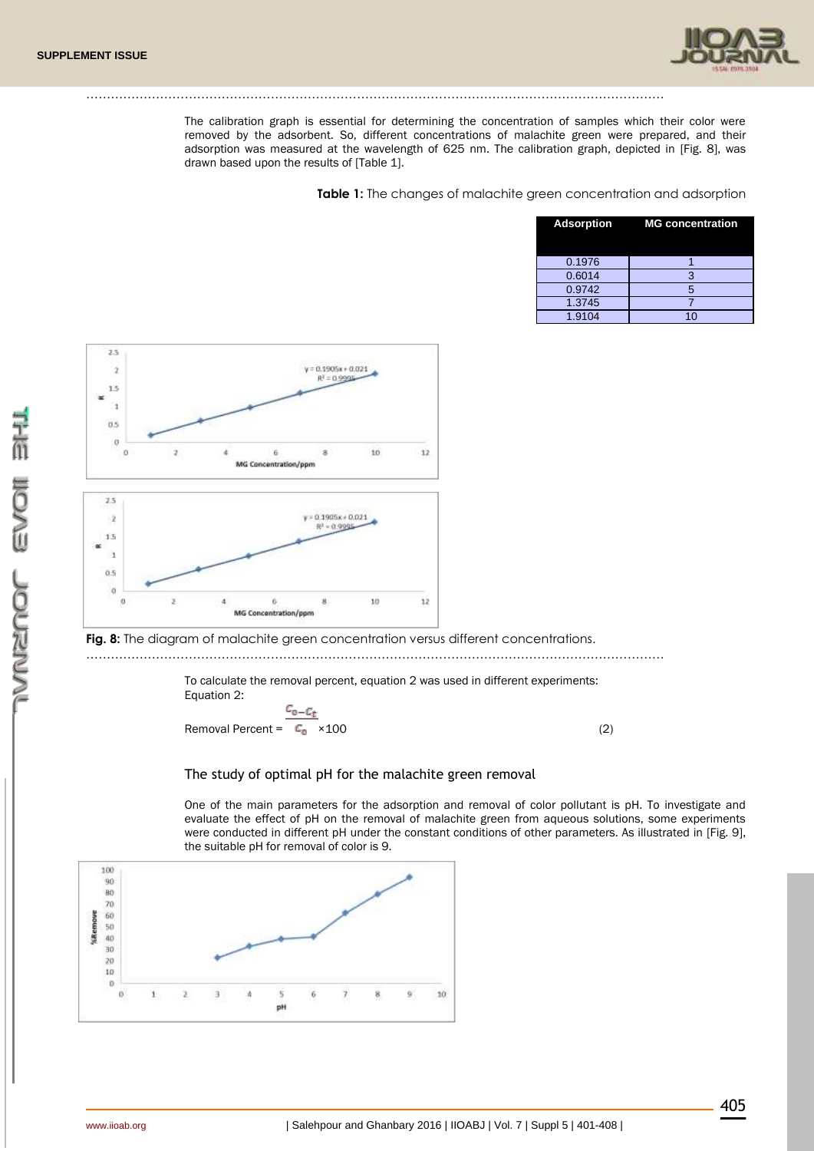

The calibration graph is essential for determining the concentration of samples which their color were removed by the adsorbent. So, different concentrations of malachite green were prepared, and their adsorption was measured at the wavelength of 625 nm. The calibration graph, depicted in [Fig. 8], was drawn based upon the results of [Table 1].

……………………………………………………………………………………………………………………………

**Table 1:** The changes of malachite green concentration and adsorption

| <b>Adsorption</b> | <b>MG concentration</b> |
|-------------------|-------------------------|
| 0.1976            |                         |
| 0.6014            | 3                       |
| 0.9742            | 5                       |
| 1.3745            |                         |
| 1.9104            | 40                      |



Fig. 8: The diagram of malachite green concentration versus different concentrations.

……………………………………………………………………………………………………………………………

To calculate the removal percent, equation 2 was used in different experiments: Equation 2:

 $c_{\text{o}-C_t}$ Removal Percent =  $C_0 \times 100$  (2)

## The study of optimal pH for the malachite green removal

One of the main parameters for the adsorption and removal of color pollutant is pH. To investigate and evaluate the effect of pH on the removal of malachite green from aqueous solutions, some experiments were conducted in different pH under the constant conditions of other parameters. As illustrated in [Fig. 9], the suitable pH for removal of color is 9.

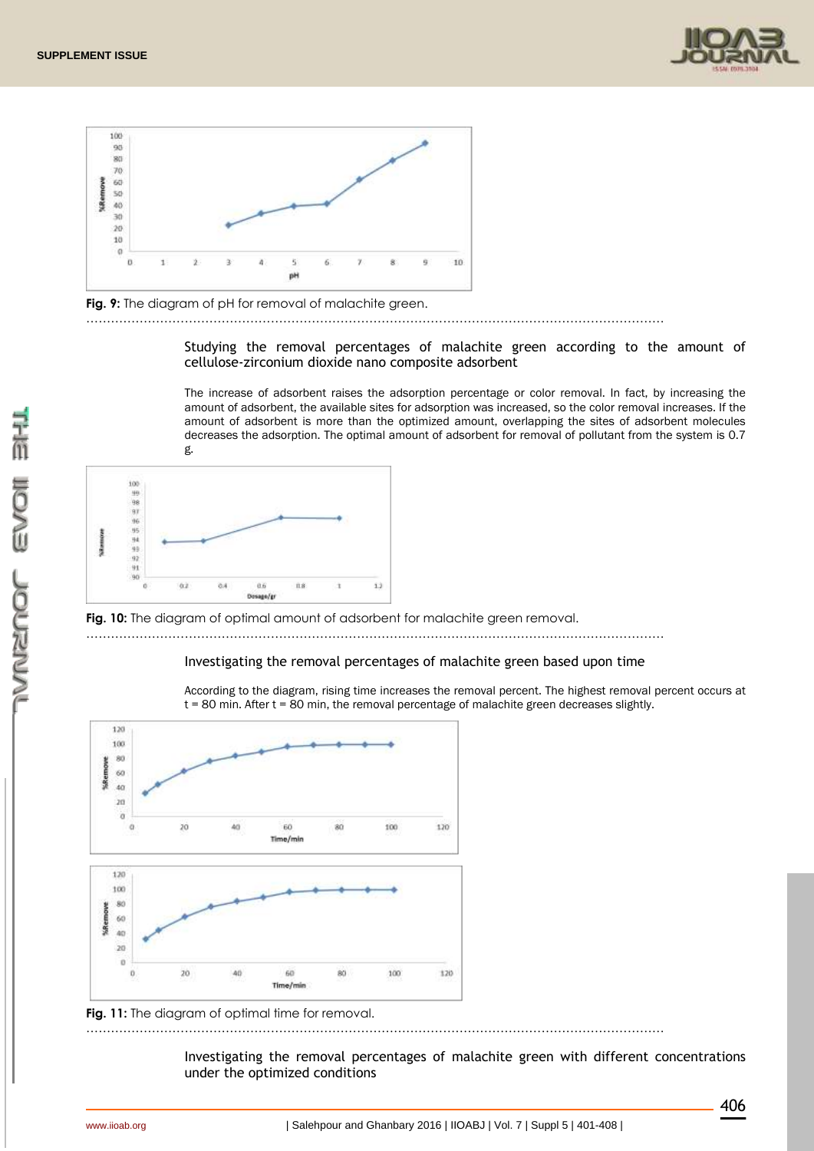





Studying the removal percentages of malachite green according to the amount of cellulose-zirconium dioxide nano composite adsorbent

……………………………………………………………………………………………………………………………

The increase of adsorbent raises the adsorption percentage or color removal. In fact, by increasing the amount of adsorbent, the available sites for adsorption was increased, so the color removal increases. If the amount of adsorbent is more than the optimized amount, overlapping the sites of adsorbent molecules decreases the adsorption. The optimal amount of adsorbent for removal of pollutant from the system is 0.7 g.



**Fig. 10:** The diagram of optimal amount of adsorbent for malachite green removal. ……………………………………………………………………………………………………………………………

# Investigating the removal percentages of malachite green based upon time

According to the diagram, rising time increases the removal percent. The highest removal percent occurs at t = 80 min. After t = 80 min, the removal percentage of malachite green decreases slightly.



**Fig. 11:** The diagram of optimal time for removal.

Investigating the removal percentages of malachite green with different concentrations under the optimized conditions

……………………………………………………………………………………………………………………………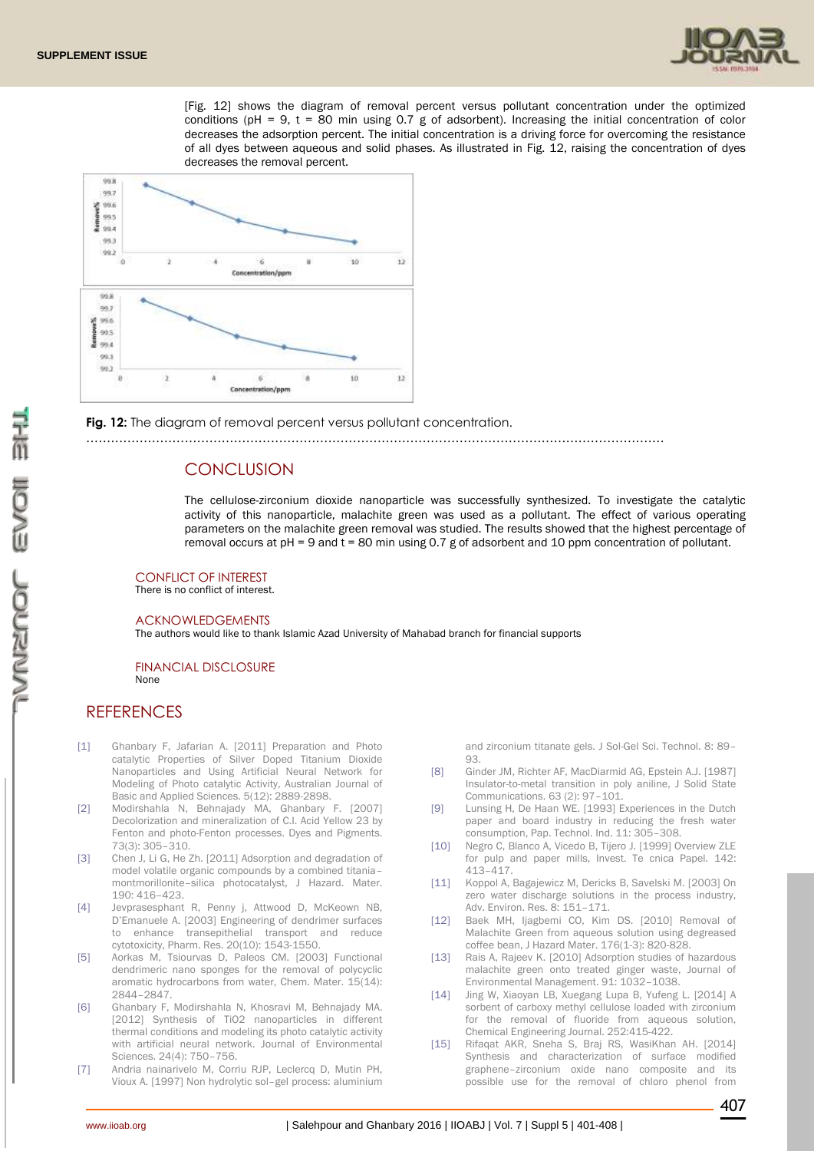

[Fig. 12] shows the diagram of removal percent versus pollutant concentration under the optimized conditions (pH = 9,  $t = 80$  min using 0.7 g of adsorbent). Increasing the initial concentration of color decreases the adsorption percent. The initial concentration is a driving force for overcoming the resistance of all dyes between aqueous and solid phases. As illustrated in Fig. 12, raising the concentration of dyes decreases the removal percent.



Fig. 12: The diagram of removal percent versus pollutant concentration.

……………………………………………………………………………………………………………………………

# **CONCLUSION**

The cellulose-zirconium dioxide nanoparticle was successfully synthesized. To investigate the catalytic activity of this nanoparticle, malachite green was used as a pollutant. The effect of various operating parameters on the malachite green removal was studied. The results showed that the highest percentage of removal occurs at pH = 9 and t = 80 min using 0.7 g of adsorbent and 10 ppm concentration of pollutant.

CONFLICT OF INTEREST

There is no conflict of interest.

#### ACKNOWLEDGEMENTS

The authors would like to thank Islamic Azad University of Mahabad branch for financial supports

#### FINANCIAL DISCLOSURE None

# **REFERENCES**

- [1] Ghanbary F, Jafarian A. [2011] Preparation and Photo catalytic Properties of Silver Doped Titanium Dioxide Nanoparticles and Using Artificial Neural Network for Modeling of Photo catalytic Activity, Australian Journal of Basic and Applied Sciences. 5(12): 2889-2898.
- [2] Modirshahla N, Behnajady MA, Ghanbary F. [2007] Decolorization and mineralization of C.I. Acid Yellow 23 by Fenton and photo-Fenton processes. Dyes and Pigments. 73(3): 305–310.
- [3] Chen J, Li G, He Zh. [2011] Adsorption and degradation of model volatile organic compounds by a combined titania– montmorillonite–silica photocatalyst, J Hazard. Mater. 190: 416–423.
- [4] Jevprasesphant R, Penny j, Attwood D, McKeown NB, D'Emanuele A. [2003] Engineering of dendrimer surfaces to enhance transepithelial transport and reduce cytotoxicity, Pharm. Res. 20(10): 1543-1550.
- [5] Aorkas M, Tsiourvas D, Paleos CM. [2003] Functional dendrimeric nano sponges for the removal of polycyclic aromatic hydrocarbons from water, Chem. Mater. 15(14): 2844–2847.
- [6] Ghanbary F, Modirshahla N, Khosravi M, Behnajady MA. [2012] Synthesis of TiO2 nanoparticles in different thermal conditions and modeling its photo catalytic activity with artificial neural network. Journal of Environmental Sciences. 24(4): 750–756.
- [7] Andria nainarivelo M, Corriu RJP, Leclercq D, Mutin PH, Vioux A. [1997] Non hydrolytic sol–gel process: aluminium

and zirconium titanate gels. J Sol-Gel Sci. Technol. 8: 89– 93.

- [8] Ginder JM, Richter AF, MacDiarmid AG, Epstein A.J. [1987] Insulator-to-metal transition in poly aniline, J Solid State Communications. 63 (2): 97–101.
- [9] Lunsing H, De Haan WE. [1993] Experiences in the Dutch paper and board industry in reducing the fresh water consumption, Pap. Technol. Ind. 11: 305–308.
- [10] Negro C, Blanco A, Vicedo B, Tijero J. [1999] Overview ZLE for pulp and paper mills, Invest. Te cnica Papel. 142: 413–417.
- [11] Koppol A, Bagajewicz M, Dericks B, Savelski M. [2003] On zero water discharge solutions in the process industry. Adv. Environ. Res. 8: 151–171.
- [12] Baek MH, ljagbemi CO, Kim DS. [2010] Removal of Malachite Green from aqueous solution using degreased coffee bean, J Hazard Mater. 176(1-3): 820-828.
- [13] Rais A, Rajeev K. [2010] Adsorption studies of hazardous malachite green onto treated ginger waste, Journal of Environmental Management. 91: 1032–1038.
- [14] Jing W, Xiaoyan LB, Xuegang Lupa B, Yufeng L. [2014] A sorbent of carboxy methyl cellulose loaded with zirconium for the removal of fluoride from aqueous solution, Chemical Engineering Journal. 252:415-422.
- [15] Rifaqat AKR, Sneha S, Braj RS, WasiKhan AH, [2014] Synthesis and characterization of surface modified graphene–zirconium oxide nano composite and its possible use for the removal of chloro phenol from